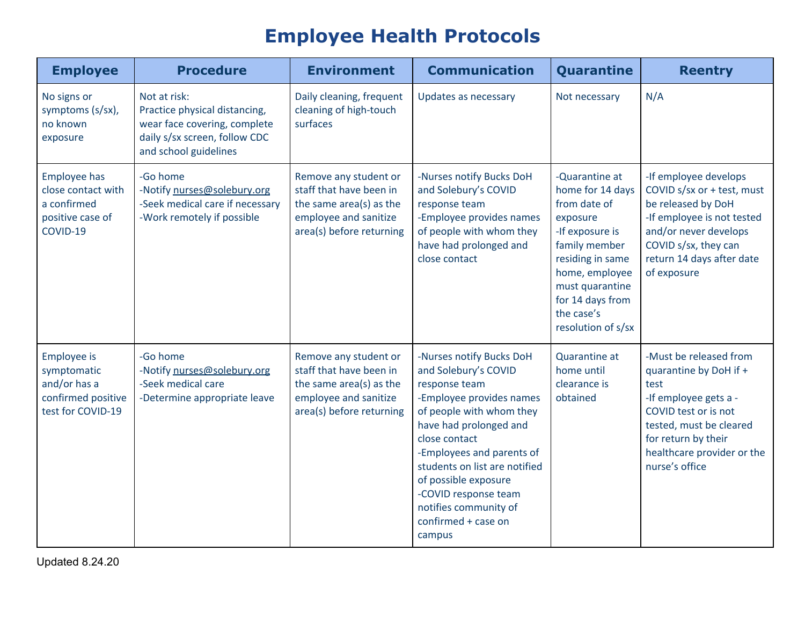## **Employee Health Protocols**

| <b>Employee</b>                                                                              | <b>Procedure</b>                                                                                                                        | <b>Environment</b>                                                                                                               | <b>Communication</b>                                                                                                                                                                                                                                                                                                                         | Quarantine                                                                                                                                                                                                          | <b>Reentry</b>                                                                                                                                                                                              |
|----------------------------------------------------------------------------------------------|-----------------------------------------------------------------------------------------------------------------------------------------|----------------------------------------------------------------------------------------------------------------------------------|----------------------------------------------------------------------------------------------------------------------------------------------------------------------------------------------------------------------------------------------------------------------------------------------------------------------------------------------|---------------------------------------------------------------------------------------------------------------------------------------------------------------------------------------------------------------------|-------------------------------------------------------------------------------------------------------------------------------------------------------------------------------------------------------------|
| No signs or<br>symptoms (s/sx),<br>no known<br>exposure                                      | Not at risk:<br>Practice physical distancing,<br>wear face covering, complete<br>daily s/sx screen, follow CDC<br>and school guidelines | Daily cleaning, frequent<br>cleaning of high-touch<br>surfaces                                                                   | Updates as necessary                                                                                                                                                                                                                                                                                                                         | Not necessary                                                                                                                                                                                                       | N/A                                                                                                                                                                                                         |
| <b>Employee has</b><br>close contact with<br>a confirmed<br>positive case of<br>COVID-19     | -Go home<br>-Notify nurses@solebury.org<br>-Seek medical care if necessary<br>-Work remotely if possible                                | Remove any student or<br>staff that have been in<br>the same area(s) as the<br>employee and sanitize<br>area(s) before returning | -Nurses notify Bucks DoH<br>and Solebury's COVID<br>response team<br>-Employee provides names<br>of people with whom they<br>have had prolonged and<br>close contact                                                                                                                                                                         | -Quarantine at<br>home for 14 days<br>from date of<br>exposure<br>-If exposure is<br>family member<br>residing in same<br>home, employee<br>must quarantine<br>for 14 days from<br>the case's<br>resolution of s/sx | -If employee develops<br>COVID s/sx or + test, must<br>be released by DoH<br>-If employee is not tested<br>and/or never develops<br>COVID s/sx, they can<br>return 14 days after date<br>of exposure        |
| <b>Employee is</b><br>symptomatic<br>and/or has a<br>confirmed positive<br>test for COVID-19 | -Go home<br>-Notify nurses@solebury.org<br>-Seek medical care<br>-Determine appropriate leave                                           | Remove any student or<br>staff that have been in<br>the same area(s) as the<br>employee and sanitize<br>area(s) before returning | -Nurses notify Bucks DoH<br>and Solebury's COVID<br>response team<br>-Employee provides names<br>of people with whom they<br>have had prolonged and<br>close contact<br>-Employees and parents of<br>students on list are notified<br>of possible exposure<br>-COVID response team<br>notifies community of<br>confirmed + case on<br>campus | Quarantine at<br>home until<br>clearance is<br>obtained                                                                                                                                                             | -Must be released from<br>quarantine by DoH if +<br>test<br>-If employee gets a -<br>COVID test or is not<br>tested, must be cleared<br>for return by their<br>healthcare provider or the<br>nurse's office |

Updated 8.24.20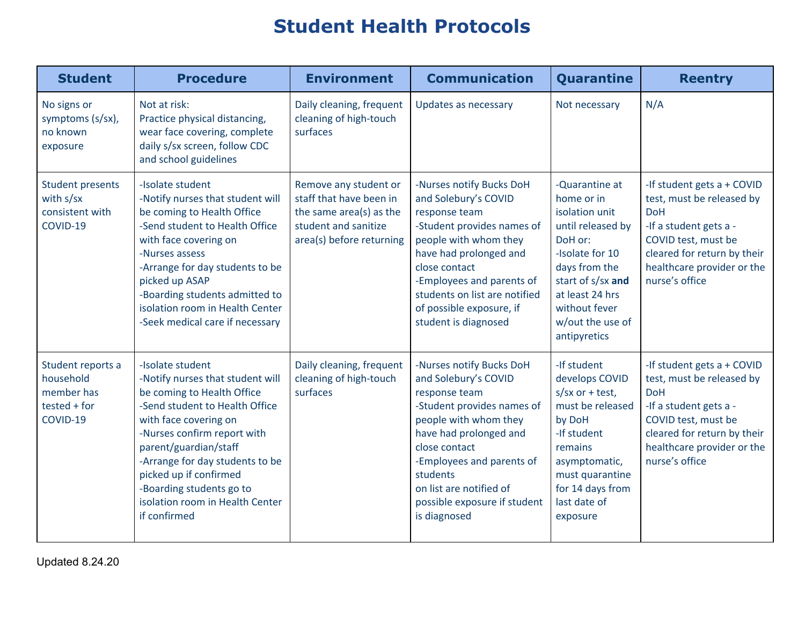## **Student Health Protocols**

| <b>Student</b>                                                             | <b>Procedure</b>                                                                                                                                                                                                                                                                                                                                  | <b>Environment</b>                                                                                                              | <b>Communication</b>                                                                                                                                                                                                                                                                    | Quarantine                                                                                                                                                                                                      | <b>Reentry</b>                                                                                                                                                                                        |
|----------------------------------------------------------------------------|---------------------------------------------------------------------------------------------------------------------------------------------------------------------------------------------------------------------------------------------------------------------------------------------------------------------------------------------------|---------------------------------------------------------------------------------------------------------------------------------|-----------------------------------------------------------------------------------------------------------------------------------------------------------------------------------------------------------------------------------------------------------------------------------------|-----------------------------------------------------------------------------------------------------------------------------------------------------------------------------------------------------------------|-------------------------------------------------------------------------------------------------------------------------------------------------------------------------------------------------------|
| No signs or<br>symptoms (s/sx),<br>no known<br>exposure                    | Not at risk:<br>Practice physical distancing,<br>wear face covering, complete<br>daily s/sx screen, follow CDC<br>and school guidelines                                                                                                                                                                                                           | Daily cleaning, frequent<br>cleaning of high-touch<br>surfaces                                                                  | Updates as necessary                                                                                                                                                                                                                                                                    | Not necessary                                                                                                                                                                                                   | N/A                                                                                                                                                                                                   |
| <b>Student presents</b><br>with s/sx<br>consistent with<br>COVID-19        | -Isolate student<br>-Notify nurses that student will<br>be coming to Health Office<br>-Send student to Health Office<br>with face covering on<br>-Nurses assess<br>-Arrange for day students to be<br>picked up ASAP<br>-Boarding students admitted to<br>isolation room in Health Center<br>-Seek medical care if necessary                      | Remove any student or<br>staff that have been in<br>the same area(s) as the<br>student and sanitize<br>area(s) before returning | -Nurses notify Bucks DoH<br>and Solebury's COVID<br>response team<br>-Student provides names of<br>people with whom they<br>have had prolonged and<br>close contact<br>-Employees and parents of<br>students on list are notified<br>of possible exposure, if<br>student is diagnosed   | -Quarantine at<br>home or in<br>isolation unit<br>until released by<br>DoH or:<br>-Isolate for 10<br>days from the<br>start of s/sx and<br>at least 24 hrs<br>without fever<br>w/out the use of<br>antipyretics | -If student gets a + COVID<br>test, must be released by<br><b>DoH</b><br>-If a student gets a -<br>COVID test, must be<br>cleared for return by their<br>healthcare provider or the<br>nurse's office |
| Student reports a<br>household<br>member has<br>$tested + for$<br>COVID-19 | -Isolate student<br>-Notify nurses that student will<br>be coming to Health Office<br>-Send student to Health Office<br>with face covering on<br>-Nurses confirm report with<br>parent/guardian/staff<br>-Arrange for day students to be<br>picked up if confirmed<br>-Boarding students go to<br>isolation room in Health Center<br>if confirmed | Daily cleaning, frequent<br>cleaning of high-touch<br>surfaces                                                                  | -Nurses notify Bucks DoH<br>and Solebury's COVID<br>response team<br>-Student provides names of<br>people with whom they<br>have had prolonged and<br>close contact<br>-Employees and parents of<br>students<br>on list are notified of<br>possible exposure if student<br>is diagnosed | -If student<br>develops COVID<br>$s$ /sx or + test,<br>must be released<br>by DoH<br>-If student<br>remains<br>asymptomatic,<br>must quarantine<br>for 14 days from<br>last date of<br>exposure                 | -If student gets a + COVID<br>test, must be released by<br><b>DoH</b><br>-If a student gets a -<br>COVID test, must be<br>cleared for return by their<br>healthcare provider or the<br>nurse's office |

Updated 8.24.20